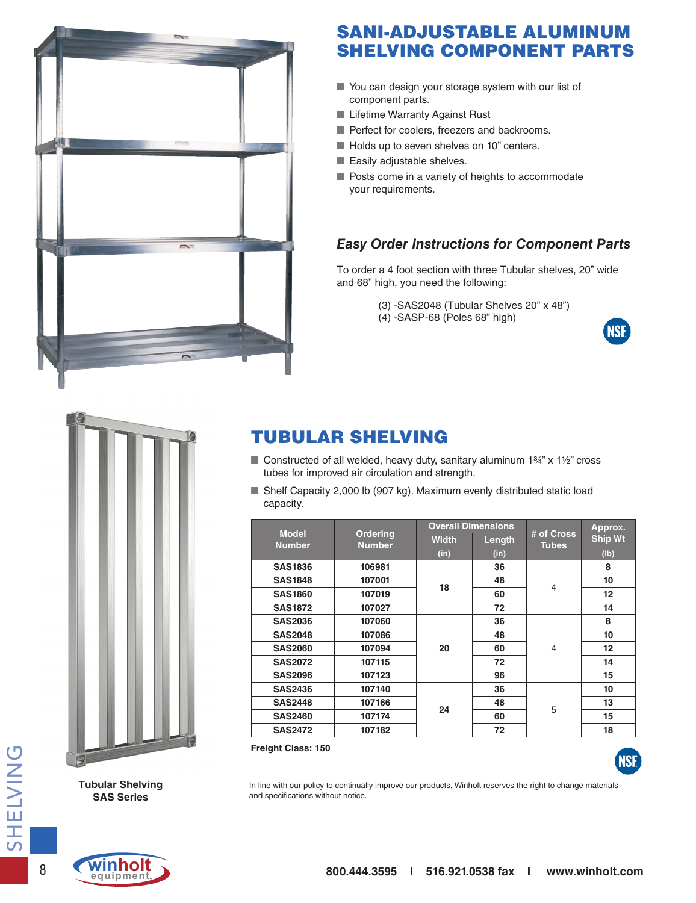

### SANI-ADJUSTABLE ALUMINUM SHELVING COMPONENT PARTS

- You can design your storage system with our list of component parts.
- Lifetime Warranty Against Rust
- Perfect for coolers, freezers and backrooms.
- Holds up to seven shelves on 10" centers.
- Easily adjustable shelves.
- Posts come in a variety of heights to accommodate your requirements.

### *Easy Order Instructions for Component Parts*

To order a 4 foot section with three Tubular shelves, 20" wide and 68" high, you need the following:

- (3) -SAS2048 (Tubular Shelves 20" x 48")
- (4) -SASP-68 (Poles 68" high)





### TUBULAR SHELVING

- Constructed of all welded, heavy duty, sanitary aluminum  $1\frac{3}{4}$ " x  $1\frac{1}{2}$ " cross tubes for improved air circulation and strength.
- Shelf Capacity 2,000 lb (907 kg). Maximum evenly distributed static load capacity.

|                               |                           | <b>Overall Dimensions</b> |        |                            | Approx.        |
|-------------------------------|---------------------------|---------------------------|--------|----------------------------|----------------|
| <b>Model</b><br><b>Number</b> | Ordering<br><b>Number</b> | <b>Width</b>              | Length | # of Cross<br><b>Tubes</b> | <b>Ship Wt</b> |
|                               |                           | (in)                      | (in)   |                            | (lb)           |
| <b>SAS1836</b>                | 106981                    | 18                        | 36     | $\overline{4}$             | 8              |
| <b>SAS1848</b>                | 107001                    |                           | 48     |                            | 10             |
| <b>SAS1860</b>                | 107019                    |                           | 60     |                            | 12             |
| <b>SAS1872</b>                | 107027                    |                           | 72     |                            | 14             |
| <b>SAS2036</b>                | 107060                    | 20                        | 36     | $\overline{4}$             | 8              |
| <b>SAS2048</b>                | 107086                    |                           | 48     |                            | 10             |
| <b>SAS2060</b>                | 107094                    |                           | 60     |                            | 12             |
| <b>SAS2072</b>                | 107115                    |                           | 72     |                            | 14             |
| <b>SAS2096</b>                | 107123                    |                           | 96     |                            | 15             |
| <b>SAS2436</b>                | 107140                    |                           | 36     |                            | 10             |
| <b>SAS2448</b>                | 107166                    | 24                        | 48     | 5                          | 13             |
| <b>SAS2460</b>                | 107174                    |                           | 60     |                            | 15             |
| <b>SAS2472</b>                | 107182                    |                           | 72     |                            | 18             |

**Freight Class: 150**



In line with our policy to continually improve our products, Winholt reserves the right to change materials and specifications without notice.